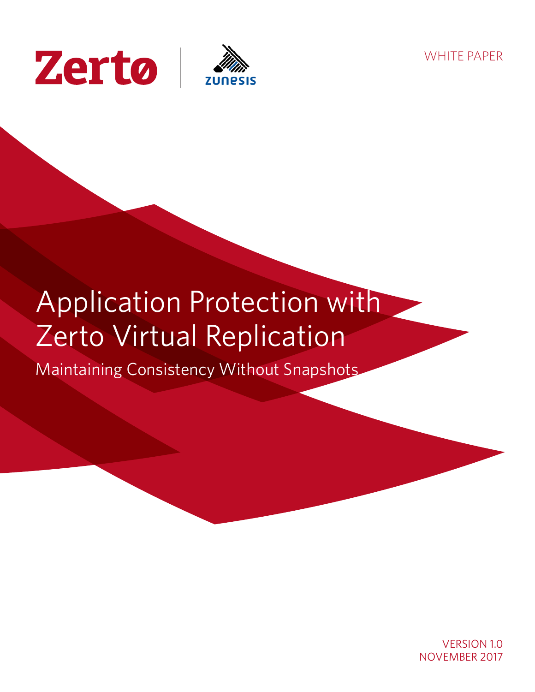WHITE PAPER





# Application Protection with Zerto Virtual Replication

Maintaining Consistency Without Snapshots

VERSION 1.0 NOVEMBER 2017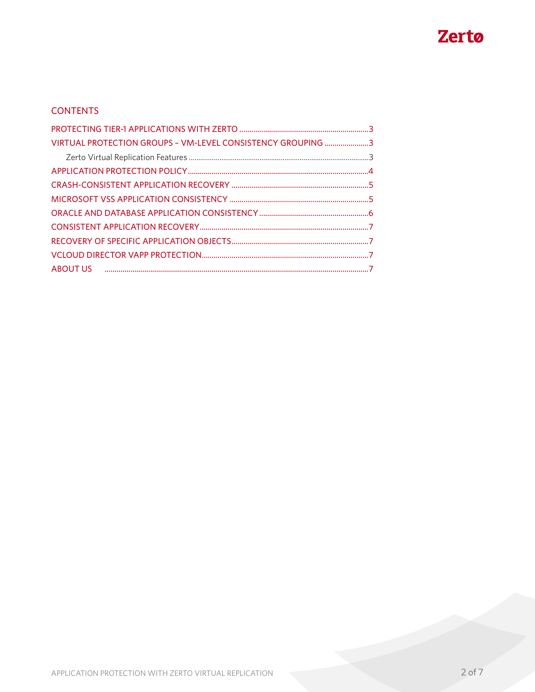

## **CONTENTS**

| VIRTUAL PROTECTION GROUPS - VM-LEVEL CONSISTENCY GROUPING 3 |  |
|-------------------------------------------------------------|--|
|                                                             |  |
|                                                             |  |
|                                                             |  |
|                                                             |  |
|                                                             |  |
|                                                             |  |
|                                                             |  |
|                                                             |  |
|                                                             |  |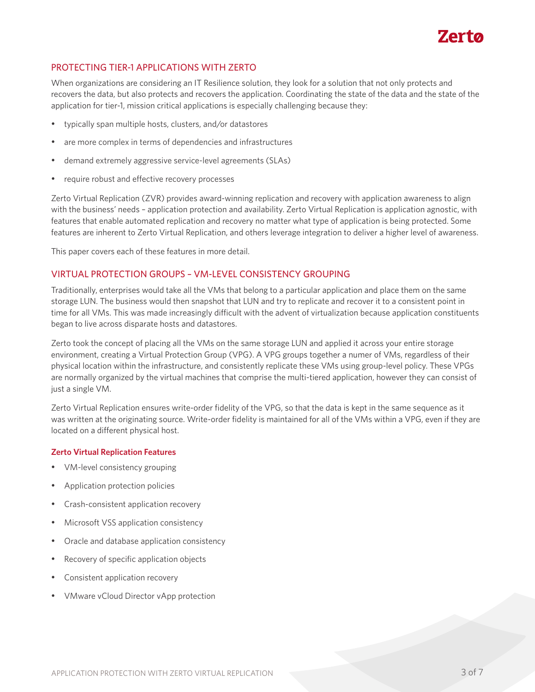

## <span id="page-2-0"></span>PROTECTING TIER-1 APPLICATIONS WITH ZERTO

When organizations are considering an IT Resilience solution, they look for a solution that not only protects and recovers the data, but also protects and recovers the application. Coordinating the state of the data and the state of the application for tier-1, mission critical applications is especially challenging because they:

- typically span multiple hosts, clusters, and/or datastores
- are more complex in terms of dependencies and infrastructures
- demand extremely aggressive service-level agreements (SLAs)
- require robust and effective recovery processes

Zerto Virtual Replication (ZVR) provides award-winning replication and recovery with application awareness to align with the business' needs – application protection and availability. Zerto Virtual Replication is application agnostic, with features that enable automated replication and recovery no matter what type of application is being protected. Some features are inherent to Zerto Virtual Replication, and others leverage integration to deliver a higher level of awareness.

This paper covers each of these features in more detail.

#### VIRTUAL PROTECTION GROUPS – VM-LEVEL CONSISTENCY GROUPING

Traditionally, enterprises would take all the VMs that belong to a particular application and place them on the same storage LUN. The business would then snapshot that LUN and try to replicate and recover it to a consistent point in time for all VMs. This was made increasingly difficult with the advent of virtualization because application constituents began to live across disparate hosts and datastores.

Zerto took the concept of placing all the VMs on the same storage LUN and applied it across your entire storage environment, creating a Virtual Protection Group (VPG). A VPG groups together a numer of VMs, regardless of their physical location within the infrastructure, and consistently replicate these VMs using group-level policy. These VPGs are normally organized by the virtual machines that comprise the multi-tiered application, however they can consist of just a single VM.

Zerto Virtual Replication ensures write-order fidelity of the VPG, so that the data is kept in the same sequence as it was written at the originating source. Write-order fidelity is maintained for all of the VMs within a VPG, even if they are located on a different physical host.

#### **Zerto Virtual Replication Features**

- VM-level consistency grouping
- Application protection policies
- • Crash-consistent application recovery
- • Microsoft VSS application consistency
- Oracle and database application consistency
- Recovery of specific application objects
- Consistent application recovery
- • VMware vCloud Director vApp protection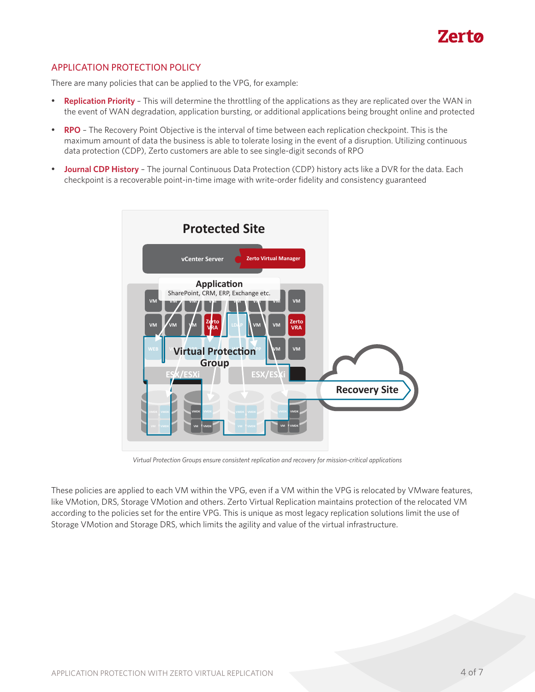

## <span id="page-3-0"></span>APPLICATION PROTECTION POLICY

There are many policies that can be applied to the VPG, for example:

- • **Replication Priority** This will determine the throttling of the applications as they are replicated over the WAN in the event of WAN degradation, application bursting, or additional applications being brought online and protected
- • **RPO** The Recovery Point Objective is the interval of time between each replication checkpoint. This is the maximum amount of data the business is able to tolerate losing in the event of a disruption. Utilizing continuous data protection (CDP), Zerto customers are able to see single-digit seconds of RPO
- • **Journal CDP History** The journal Continuous Data Protection (CDP) history acts like a DVR for the data. Each checkpoint is a recoverable point-in-time image with write-order fidelity and consistency guaranteed



*Virtual Protection Groups ensure consistent replication and recovery for mission-critical applications*

These policies are applied to each VM within the VPG, even if a VM within the VPG is relocated by VMware features, like VMotion, DRS, Storage VMotion and others. Zerto Virtual Replication maintains protection of the relocated VM according to the policies set for the entire VPG. This is unique as most legacy replication solutions limit the use of Storage VMotion and Storage DRS, which limits the agility and value of the virtual infrastructure.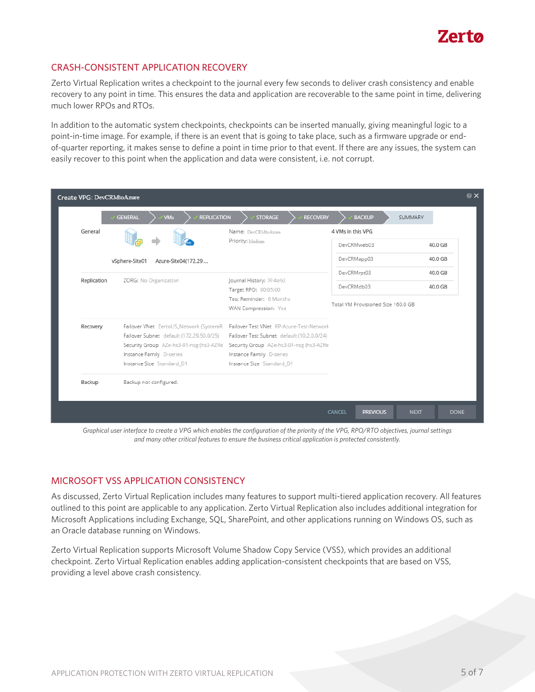

## <span id="page-4-0"></span>CRASH-CONSISTENT APPLICATION RECOVERY

Zerto Virtual Replication writes a checkpoint to the journal every few seconds to deliver crash consistency and enable recovery to any point in time. This ensures the data and application are recoverable to the same point in time, delivering much lower RPOs and RTOs.

In addition to the automatic system checkpoints, checkpoints can be inserted manually, giving meaningful logic to a point-in-time image. For example, if there is an event that is going to take place, such as a firmware upgrade or endof-quarter reporting, it makes sense to define a point in time prior to that event. If there are any issues, the system can easily recover to this point when the application and data were consistent, i.e. not corrupt.

| Create VPG: DevCRMtoAzure                        |                                                    |                                                                                                       |                                          |             |
|--------------------------------------------------|----------------------------------------------------|-------------------------------------------------------------------------------------------------------|------------------------------------------|-------------|
|                                                  | <b>GENERAL</b><br><b>REPLICATION</b><br><b>VMs</b> | <b>STORAGE</b><br><b>RECOVERY</b>                                                                     | <b>BACKUP</b><br>SUMMARY                 |             |
| General<br>vSphere-Site01<br>Azure-Site04(172.29 |                                                    | Name: DevCRMtoAzure<br>Priority: Medium                                                               | 4 VMs in this VPG                        |             |
|                                                  |                                                    |                                                                                                       | DevCRMweb03                              | 40.0 GB     |
|                                                  |                                                    | DevCRMapp03                                                                                           | 40.0 GB                                  |             |
| Replication                                      |                                                    |                                                                                                       | DevCRMrpt03                              | 40.0 GB     |
|                                                  | ZORG: No Organization                              | Journal History: 30 day(s)<br>Target RPO: 00:05:00<br>Test Reminder: 6 Months<br>WAN Compression: Yes | DevCRMdb03                               | 40.0 GB     |
|                                                  |                                                    |                                                                                                       | Total VM Provisioned Size 160.0 GB       |             |
| Recovery                                         | Failover VNet ZertoUS_Network (SystemR             | Failover Test VNet RP-Azure-Test-Network                                                              |                                          |             |
|                                                  | Failover Subnet default (172.29.50.0/25)           | Failover Test Subnet default (10.2.0.0/24)                                                            |                                          |             |
|                                                  | Security Group AZe-hs3-01-nsg (hs3-AZRe            | Security Group AZe-hs3-01-nsg (hs3-AZRe                                                               |                                          |             |
|                                                  | Instance Family D-series                           | Instance Family D-series                                                                              |                                          |             |
|                                                  | Instance Size Standard_D1                          | Instance Size Standard_D1                                                                             |                                          |             |
| Backup                                           | Backup not configured.                             |                                                                                                       |                                          |             |
|                                                  |                                                    |                                                                                                       | CANCEL<br><b>PREVIOUS</b><br><b>NEXT</b> | <b>DONE</b> |

*Graphical user interface to create a VPG which enables the configuration of the priority of the VPG, RPO/RTO objectives, journal settings and many other critical features to ensure the business critical application is protected consistently.*

#### MICROSOFT VSS APPLICATION CONSISTENCY

As discussed, Zerto Virtual Replication includes many features to support multi-tiered application recovery. All features outlined to this point are applicable to any application. Zerto Virtual Replication also includes additional integration for Microsoft Applications including Exchange, SQL, SharePoint, and other applications running on Windows OS, such as an Oracle database running on Windows.

Zerto Virtual Replication supports Microsoft Volume Shadow Copy Service (VSS), which provides an additional checkpoint. Zerto Virtual Replication enables adding application-consistent checkpoints that are based on VSS, providing a level above crash consistency.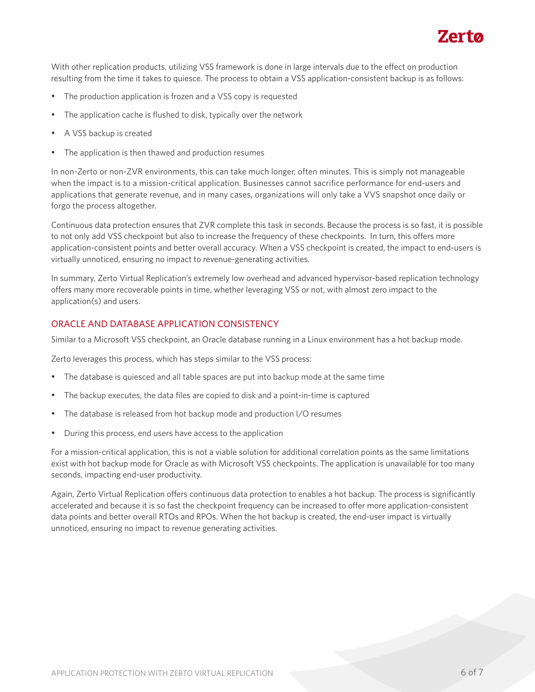

<span id="page-5-0"></span>With other replication products, utilizing VSS framework is done in large intervals due to the effect on production resulting from the time it takes to quiesce. The process to obtain a VSS application-consistent backup is as follows:

- The production application is frozen and a VSS copy is requested
- The application cache is flushed to disk, typically over the network
- A VSS backup is created
- The application is then thawed and production resumes

In non-Zerto or non-ZVR environments, this can take much longer, often minutes. This is simply not manageable when the impact is to a mission-critical application. Businesses cannot sacrifice performance for end-users and applications that generate revenue, and in many cases, organizations will only take a VVS snapshot once daily or forgo the process altogether.

Continuous data protection ensures that ZVR complete this task in seconds. Because the process is so fast, it is possible to not only add VSS checkpoint but also to increase the frequency of these checkpoints. In turn, this offers more application-consistent points and better overall accuracy. When a VSS checkpoint is created, the impact to end-users is virtually unnoticed, ensuring no impact to revenue-generating activities.

In summary, Zerto Virtual Replication's extremely low overhead and advanced hypervisor-based replication technology offers many more recoverable points in time, whether leveraging VSS or not, with almost zero impact to the application(s) and users.

#### ORACLE AND DATABASE APPLICATION CONSISTENCY

Similar to a Microsoft VSS checkpoint, an Oracle database running in a Linux environment has a hot backup mode.

Zerto leverages this process, which has steps similar to the VSS process:

- The database is quiesced and all table spaces are put into backup mode at the same time
- The backup executes, the data files are copied to disk and a point-in-time is captured
- The database is released from hot backup mode and production I/O resumes
- During this process, end users have access to the application

For a mission-critical application, this is not a viable solution for additional correlation points as the same limitations exist with hot backup mode for Oracle as with Microsoft VSS checkpoints. The application is unavailable for too many seconds, impacting end-user productivity.

Again, Zerto Virtual Replication offers continuous data protection to enables a hot backup. The process is significantly accelerated and because it is so fast the checkpoint frequency can be increased to offer more application-consistent data points and better overall RTOs and RPOs. When the hot backup is created, the end-user impact is virtually unnoticed, ensuring no impact to revenue generating activities.